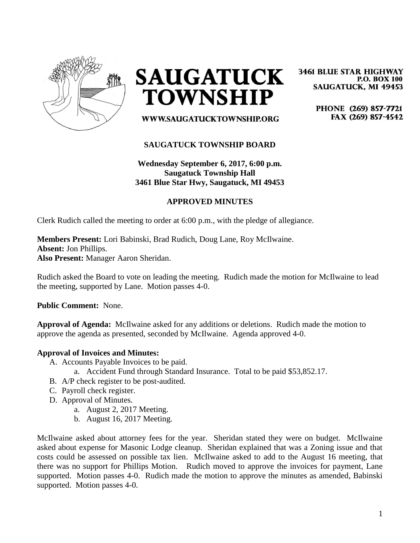

**SAUGATUCK TOWNSHIP** 

**3461 BLUE STAR HIGHWAY P.O. BOX 100 SAUGATUCK, MI 49453** 

> PHONE (269) 857-7721 FAX (269) 857-4542

WWW.SAUGATUCKTOWNSHIP.ORG

## **SAUGATUCK TOWNSHIP BOARD**

**Wednesday September 6, 2017, 6:00 p.m. Saugatuck Township Hall 3461 Blue Star Hwy, Saugatuck, MI 49453**

#### **APPROVED MINUTES**

Clerk Rudich called the meeting to order at 6:00 p.m., with the pledge of allegiance.

#### **Members Present:** Lori Babinski, Brad Rudich, Doug Lane, Roy McIlwaine. **Absent:** Jon Phillips. **Also Present:** Manager Aaron Sheridan.

Rudich asked the Board to vote on leading the meeting. Rudich made the motion for McIlwaine to lead the meeting, supported by Lane. Motion passes 4-0.

**Public Comment:** None.

**Approval of Agenda:** McIlwaine asked for any additions or deletions. Rudich made the motion to approve the agenda as presented, seconded by McIlwaine. Agenda approved 4-0.

#### **Approval of Invoices and Minutes:**

- A. Accounts Payable Invoices to be paid.
	- a. Accident Fund through Standard Insurance. Total to be paid \$53,852.17.
- B. A/P check register to be post-audited.
- C. Payroll check register.
- D. Approval of Minutes.
	- a. August 2, 2017 Meeting.
	- b. August 16, 2017 Meeting.

McIlwaine asked about attorney fees for the year. Sheridan stated they were on budget. McIlwaine asked about expense for Masonic Lodge cleanup. Sheridan explained that was a Zoning issue and that costs could be assessed on possible tax lien. McIlwaine asked to add to the August 16 meeting, that there was no support for Phillips Motion. Rudich moved to approve the invoices for payment, Lane supported. Motion passes 4-0. Rudich made the motion to approve the minutes as amended, Babinski supported. Motion passes 4-0.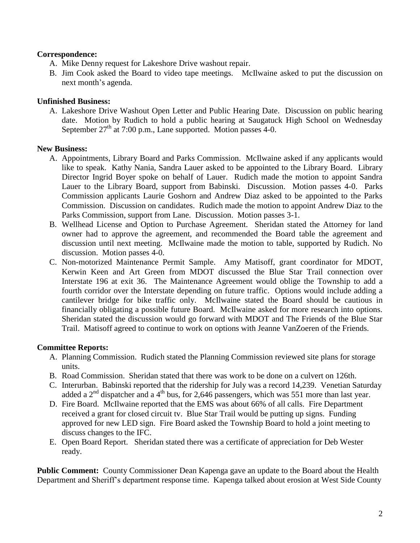## **Correspondence:**

- A. Mike Denny request for Lakeshore Drive washout repair.
- B. Jim Cook asked the Board to video tape meetings. McIlwaine asked to put the discussion on next month's agenda.

## **Unfinished Business:**

A. Lakeshore Drive Washout Open Letter and Public Hearing Date. Discussion on public hearing date. Motion by Rudich to hold a public hearing at Saugatuck High School on Wednesday September  $27<sup>th</sup>$  at 7:00 p.m., Lane supported. Motion passes 4-0.

## **New Business:**

- A. Appointments, Library Board and Parks Commission. McIlwaine asked if any applicants would like to speak. Kathy Nania, Sandra Lauer asked to be appointed to the Library Board. Library Director Ingrid Boyer spoke on behalf of Lauer. Rudich made the motion to appoint Sandra Lauer to the Library Board, support from Babinski. Discussion. Motion passes 4-0. Parks Commission applicants Laurie Goshorn and Andrew Diaz asked to be appointed to the Parks Commission. Discussion on candidates. Rudich made the motion to appoint Andrew Diaz to the Parks Commission, support from Lane. Discussion. Motion passes 3-1.
- B. Wellhead License and Option to Purchase Agreement. Sheridan stated the Attorney for land owner had to approve the agreement, and recommended the Board table the agreement and discussion until next meeting. McIlwaine made the motion to table, supported by Rudich. No discussion. Motion passes 4-0.
- C. Non-motorized Maintenance Permit Sample. Amy Matisoff, grant coordinator for MDOT, Kerwin Keen and Art Green from MDOT discussed the Blue Star Trail connection over Interstate 196 at exit 36. The Maintenance Agreement would oblige the Township to add a fourth corridor over the Interstate depending on future traffic. Options would include adding a cantilever bridge for bike traffic only. McIlwaine stated the Board should be cautious in financially obligating a possible future Board. McIlwaine asked for more research into options. Sheridan stated the discussion would go forward with MDOT and The Friends of the Blue Star Trail. Matisoff agreed to continue to work on options with Jeanne VanZoeren of the Friends.

# **Committee Reports:**

- A. Planning Commission. Rudich stated the Planning Commission reviewed site plans for storage units.
- B. Road Commission. Sheridan stated that there was work to be done on a culvert on 126th.
- C. Interurban. Babinski reported that the ridership for July was a record 14,239. Venetian Saturday added a  $2<sup>nd</sup>$  dispatcher and a 4<sup>th</sup> bus, for 2,646 passengers, which was 551 more than last year.
- D. Fire Board. McIlwaine reported that the EMS was about 66% of all calls. Fire Department received a grant for closed circuit tv. Blue Star Trail would be putting up signs. Funding approved for new LED sign. Fire Board asked the Township Board to hold a joint meeting to discuss changes to the IFC.
- E. Open Board Report. Sheridan stated there was a certificate of appreciation for Deb Wester ready.

**Public Comment:** County Commissioner Dean Kapenga gave an update to the Board about the Health Department and Sheriff's department response time. Kapenga talked about erosion at West Side County